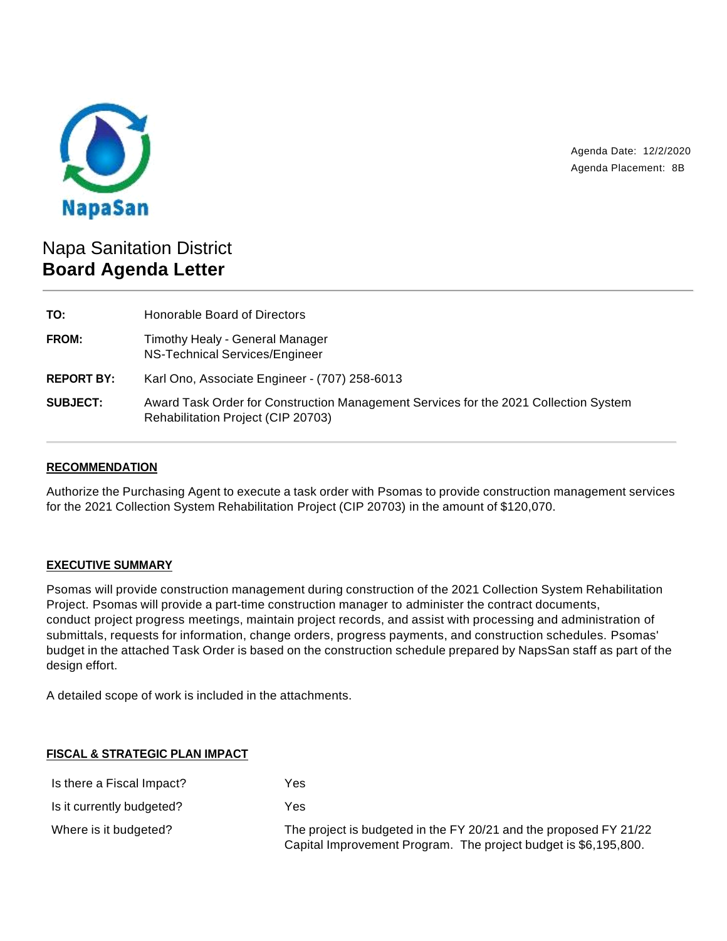

Agenda Date: 12/2/2020 Agenda Placement: 8B

# Napa Sanitation District **Board Agenda Letter**

| TO:               | Honorable Board of Directors                                                                                               |
|-------------------|----------------------------------------------------------------------------------------------------------------------------|
| <b>FROM:</b>      | Timothy Healy - General Manager<br>NS-Technical Services/Engineer                                                          |
| <b>REPORT BY:</b> | Karl Ono, Associate Engineer - (707) 258-6013                                                                              |
| <b>SUBJECT:</b>   | Award Task Order for Construction Management Services for the 2021 Collection System<br>Rehabilitation Project (CIP 20703) |

# **RECOMMENDATION**

Authorize the Purchasing Agent to execute a task order with Psomas to provide construction management services for the 2021 Collection System Rehabilitation Project (CIP 20703) in the amount of \$120,070.

## **EXECUTIVE SUMMARY**

Psomas will provide construction management during construction of the 2021 Collection System Rehabilitation Project. Psomas will provide a part-time construction manager to administer the contract documents, conduct project progress meetings, maintain project records, and assist with processing and administration of submittals, requests for information, change orders, progress payments, and construction schedules. Psomas' budget in the attached Task Order is based on the construction schedule prepared by NapsSan staff as part of the design effort.

A detailed scope of work is included in the attachments.

#### **FISCAL & STRATEGIC PLAN IMPACT**

| Is there a Fiscal Impact? | Yes                                                                                                                                  |
|---------------------------|--------------------------------------------------------------------------------------------------------------------------------------|
| Is it currently budgeted? | Yes                                                                                                                                  |
| Where is it budgeted?     | The project is budgeted in the FY 20/21 and the proposed FY 21/22<br>Capital Improvement Program. The project budget is \$6,195,800. |